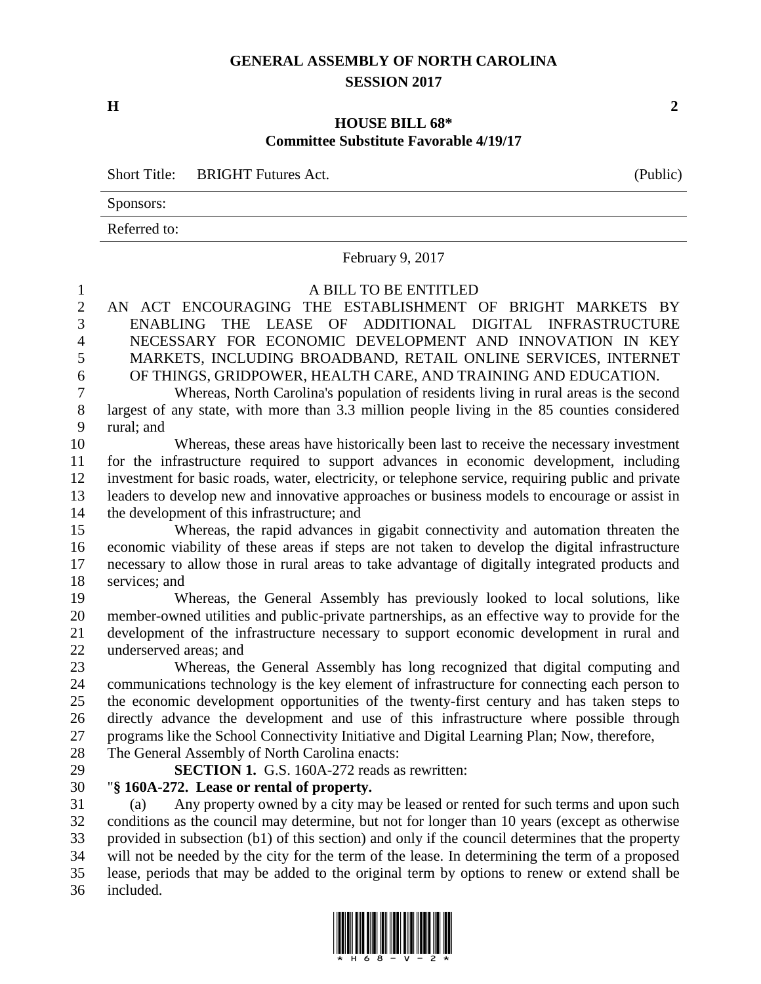# **GENERAL ASSEMBLY OF NORTH CAROLINA SESSION 2017**

**H 2**

### **HOUSE BILL 68\* Committee Substitute Favorable 4/19/17**

Short Title: BRIGHT Futures Act. (Public)

Sponsors:

Referred to:

February 9, 2017

### A BILL TO BE ENTITLED

 AN ACT ENCOURAGING THE ESTABLISHMENT OF BRIGHT MARKETS BY ENABLING THE LEASE OF ADDITIONAL DIGITAL INFRASTRUCTURE NECESSARY FOR ECONOMIC DEVELOPMENT AND INNOVATION IN KEY MARKETS, INCLUDING BROADBAND, RETAIL ONLINE SERVICES, INTERNET OF THINGS, GRIDPOWER, HEALTH CARE, AND TRAINING AND EDUCATION.

 Whereas, North Carolina's population of residents living in rural areas is the second largest of any state, with more than 3.3 million people living in the 85 counties considered rural; and

 Whereas, these areas have historically been last to receive the necessary investment for the infrastructure required to support advances in economic development, including investment for basic roads, water, electricity, or telephone service, requiring public and private leaders to develop new and innovative approaches or business models to encourage or assist in the development of this infrastructure; and

 Whereas, the rapid advances in gigabit connectivity and automation threaten the economic viability of these areas if steps are not taken to develop the digital infrastructure necessary to allow those in rural areas to take advantage of digitally integrated products and services; and

 Whereas, the General Assembly has previously looked to local solutions, like member-owned utilities and public-private partnerships, as an effective way to provide for the development of the infrastructure necessary to support economic development in rural and underserved areas; and

 Whereas, the General Assembly has long recognized that digital computing and communications technology is the key element of infrastructure for connecting each person to the economic development opportunities of the twenty-first century and has taken steps to directly advance the development and use of this infrastructure where possible through programs like the School Connectivity Initiative and Digital Learning Plan; Now, therefore, The General Assembly of North Carolina enacts:

**SECTION 1.** G.S. 160A-272 reads as rewritten:

### "**§ 160A-272. Lease or rental of property.**

 (a) Any property owned by a city may be leased or rented for such terms and upon such conditions as the council may determine, but not for longer than 10 years (except as otherwise provided in subsection (b1) of this section) and only if the council determines that the property will not be needed by the city for the term of the lease. In determining the term of a proposed lease, periods that may be added to the original term by options to renew or extend shall be included.



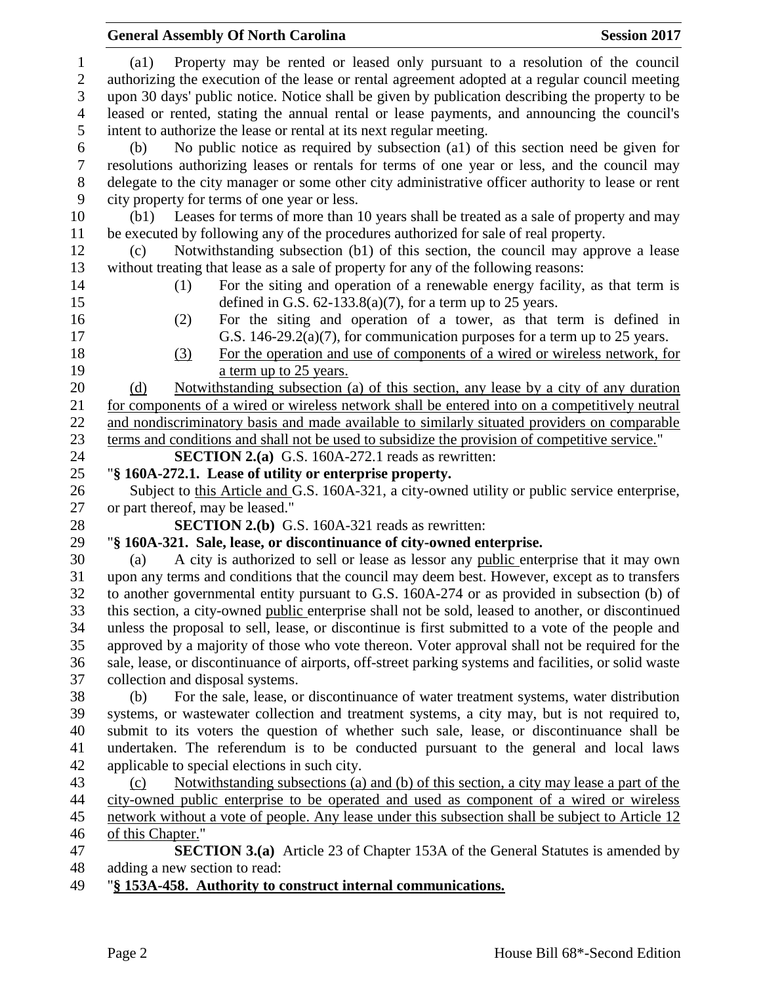# **General Assembly Of North Carolina Session 2017**  (a1) Property may be rented or leased only pursuant to a resolution of the council authorizing the execution of the lease or rental agreement adopted at a regular council meeting upon 30 days' public notice. Notice shall be given by publication describing the property to be leased or rented, stating the annual rental or lease payments, and announcing the council's intent to authorize the lease or rental at its next regular meeting. (b) No public notice as required by subsection (a1) of this section need be given for resolutions authorizing leases or rentals for terms of one year or less, and the council may delegate to the city manager or some other city administrative officer authority to lease or rent city property for terms of one year or less. (b1) Leases for terms of more than 10 years shall be treated as a sale of property and may be executed by following any of the procedures authorized for sale of real property. (c) Notwithstanding subsection (b1) of this section, the council may approve a lease without treating that lease as a sale of property for any of the following reasons: (1) For the siting and operation of a renewable energy facility, as that term is defined in G.S. 62-133.8(a)(7), for a term up to 25 years. (2) For the siting and operation of a tower, as that term is defined in G.S. 146-29.2(a)(7), for communication purposes for a term up to 25 years. (3) For the operation and use of components of a wired or wireless network, for **a** term up to 25 years. 20 (d) Notwithstanding subsection (a) of this section, any lease by a city of any duration for components of a wired or wireless network shall be entered into on a competitively neutral and nondiscriminatory basis and made available to similarly situated providers on comparable terms and conditions and shall not be used to subsidize the provision of competitive service." **SECTION 2.(a)** G.S. 160A-272.1 reads as rewritten: "**§ 160A-272.1. Lease of utility or enterprise property.** 26 Subject to this Article and G.S. 160A-321, a city-owned utility or public service enterprise, or part thereof, may be leased." **SECTION 2.(b)** G.S. 160A-321 reads as rewritten: "**§ 160A-321. Sale, lease, or discontinuance of city-owned enterprise.** (a) A city is authorized to sell or lease as lessor any public enterprise that it may own upon any terms and conditions that the council may deem best. However, except as to transfers to another governmental entity pursuant to G.S. 160A-274 or as provided in subsection (b) of this section, a city-owned public enterprise shall not be sold, leased to another, or discontinued unless the proposal to sell, lease, or discontinue is first submitted to a vote of the people and approved by a majority of those who vote thereon. Voter approval shall not be required for the sale, lease, or discontinuance of airports, off-street parking systems and facilities, or solid waste collection and disposal systems. (b) For the sale, lease, or discontinuance of water treatment systems, water distribution systems, or wastewater collection and treatment systems, a city may, but is not required to, submit to its voters the question of whether such sale, lease, or discontinuance shall be undertaken. The referendum is to be conducted pursuant to the general and local laws applicable to special elections in such city. (c) Notwithstanding subsections (a) and (b) of this section, a city may lease a part of the city-owned public enterprise to be operated and used as component of a wired or wireless network without a vote of people. Any lease under this subsection shall be subject to Article 12 of this Chapter." **SECTION 3.(a)** Article 23 of Chapter 153A of the General Statutes is amended by adding a new section to read: "**§ 153A-458. Authority to construct internal communications.**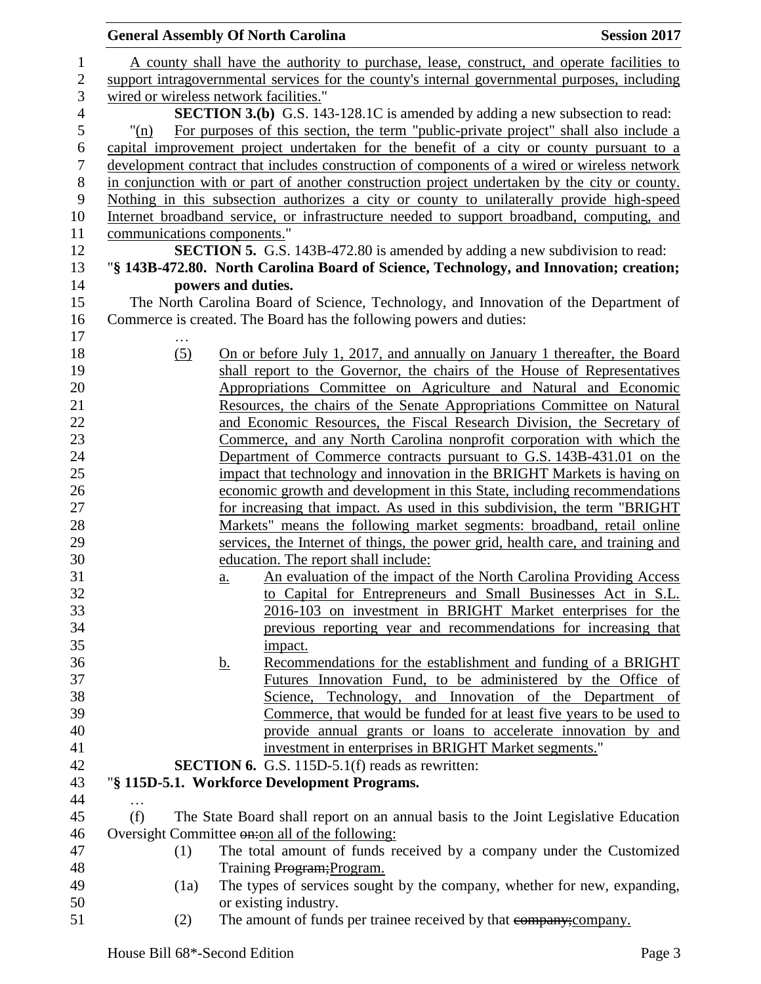|                  |                             | <b>General Assembly Of North Carolina</b>                                                     | <b>Session 2017</b> |
|------------------|-----------------------------|-----------------------------------------------------------------------------------------------|---------------------|
| $\mathbf{1}$     |                             | A county shall have the authority to purchase, lease, construct, and operate facilities to    |                     |
| $\overline{c}$   |                             | support intragovernmental services for the county's internal governmental purposes, including |                     |
| 3                |                             | wired or wireless network facilities."                                                        |                     |
| $\overline{4}$   |                             | <b>SECTION 3.(b)</b> G.S. 143-128.1C is amended by adding a new subsection to read:           |                     |
| 5                | $"(\text{n})$               | For purposes of this section, the term "public-private project" shall also include a          |                     |
| 6                |                             | capital improvement project undertaken for the benefit of a city or county pursuant to a      |                     |
| $\boldsymbol{7}$ |                             | development contract that includes construction of components of a wired or wireless network  |                     |
| $8\,$            |                             | in conjunction with or part of another construction project undertaken by the city or county. |                     |
| $\boldsymbol{9}$ |                             | Nothing in this subsection authorizes a city or county to unilaterally provide high-speed     |                     |
| 10               |                             | Internet broadband service, or infrastructure needed to support broadband, computing, and     |                     |
| 11               | communications components." |                                                                                               |                     |
| 12               |                             | <b>SECTION 5.</b> G.S. 143B-472.80 is amended by adding a new subdivision to read:            |                     |
| 13               |                             | "§ 143B-472.80. North Carolina Board of Science, Technology, and Innovation; creation;        |                     |
| 14               |                             | powers and duties.                                                                            |                     |
| 15               |                             | The North Carolina Board of Science, Technology, and Innovation of the Department of          |                     |
| 16               |                             | Commerce is created. The Board has the following powers and duties:                           |                     |
| 17               |                             |                                                                                               |                     |
| 18               |                             | On or before July 1, 2017, and annually on January 1 thereafter, the Board                    |                     |
| 19               | (5)                         | shall report to the Governor, the chairs of the House of Representatives                      |                     |
| 20               |                             | Appropriations Committee on Agriculture and Natural and Economic                              |                     |
| 21               |                             | Resources, the chairs of the Senate Appropriations Committee on Natural                       |                     |
| 22               |                             | and Economic Resources, the Fiscal Research Division, the Secretary of                        |                     |
| 23               |                             | Commerce, and any North Carolina nonprofit corporation with which the                         |                     |
| 24               |                             | Department of Commerce contracts pursuant to G.S. 143B-431.01 on the                          |                     |
| 25               |                             | impact that technology and innovation in the BRIGHT Markets is having on                      |                     |
| 26               |                             | economic growth and development in this State, including recommendations                      |                     |
| 27               |                             | for increasing that impact. As used in this subdivision, the term "BRIGHT                     |                     |
| 28               |                             | Markets" means the following market segments: broadband, retail online                        |                     |
| 29               |                             | services, the Internet of things, the power grid, health care, and training and               |                     |
| 30               |                             | education. The report shall include:                                                          |                     |
| 31               |                             | An evaluation of the impact of the North Carolina Providing Access<br>a.                      |                     |
| 32               |                             | to Capital for Entrepreneurs and Small Businesses Act in S.L.                                 |                     |
| 33               |                             | 2016-103 on investment in BRIGHT Market enterprises for the                                   |                     |
| 34               |                             | previous reporting year and recommendations for increasing that                               |                     |
| 35               |                             | impact.                                                                                       |                     |
| 36               |                             | Recommendations for the establishment and funding of a BRIGHT<br><u>b.</u>                    |                     |
| 37               |                             | Futures Innovation Fund, to be administered by the Office of                                  |                     |
| 38               |                             | Science, Technology, and Innovation of the Department of                                      |                     |
| 39               |                             | Commerce, that would be funded for at least five years to be used to                          |                     |
| 40               |                             | provide annual grants or loans to accelerate innovation by and                                |                     |
| 41               |                             | investment in enterprises in BRIGHT Market segments."                                         |                     |
| 42               |                             | <b>SECTION 6.</b> G.S. 115D-5.1(f) reads as rewritten:                                        |                     |
| 43               |                             | "§ 115D-5.1. Workforce Development Programs.                                                  |                     |
| 44               |                             |                                                                                               |                     |
| 45               | (f)                         | The State Board shall report on an annual basis to the Joint Legislative Education            |                     |
| 46               |                             | Oversight Committee on: on all of the following:                                              |                     |
| 47               | (1)                         | The total amount of funds received by a company under the Customized                          |                     |
| 48               |                             | Training Program; Program.                                                                    |                     |
| 49               | (1a)                        | The types of services sought by the company, whether for new, expanding,                      |                     |
| 50               |                             | or existing industry.                                                                         |                     |
| 51               | (2)                         | The amount of funds per trainee received by that eompany; company.                            |                     |
|                  |                             |                                                                                               |                     |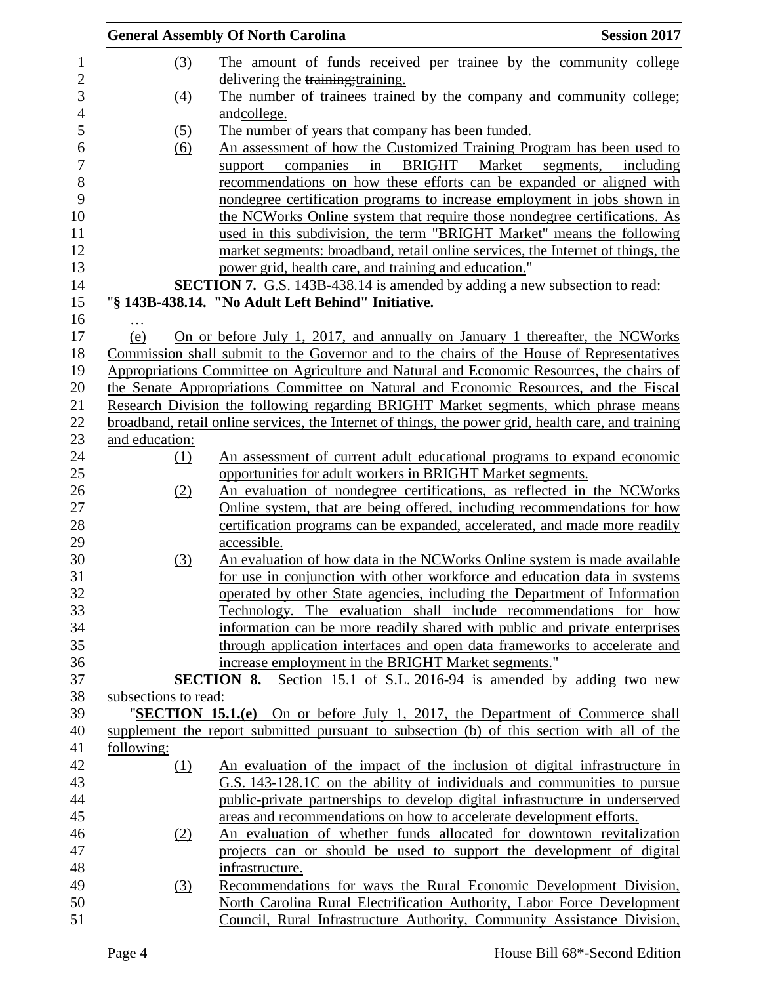|            |                      | <b>General Assembly Of North Carolina</b>                                                                                                                                          | <b>Session 2017</b> |
|------------|----------------------|------------------------------------------------------------------------------------------------------------------------------------------------------------------------------------|---------------------|
|            | (3)                  | The amount of funds received per trainee by the community college                                                                                                                  |                     |
|            |                      | delivering the training; training.                                                                                                                                                 |                     |
|            | (4)                  | The number of trainees trained by the company and community eollege;                                                                                                               |                     |
|            |                      | andcollege.                                                                                                                                                                        |                     |
|            | (5)                  | The number of years that company has been funded.                                                                                                                                  |                     |
|            | (6)                  | An assessment of how the Customized Training Program has been used to                                                                                                              |                     |
|            |                      | in BRIGHT Market<br>support<br>companies                                                                                                                                           | segments, including |
|            |                      | recommendations on how these efforts can be expanded or aligned with                                                                                                               |                     |
|            |                      | nondegree certification programs to increase employment in jobs shown in                                                                                                           |                     |
|            |                      | the NCWorks Online system that require those nondegree certifications. As                                                                                                          |                     |
|            |                      | used in this subdivision, the term "BRIGHT Market" means the following                                                                                                             |                     |
|            |                      | market segments: broadband, retail online services, the Internet of things, the                                                                                                    |                     |
|            |                      | power grid, health care, and training and education."                                                                                                                              |                     |
|            |                      | <b>SECTION 7.</b> G.S. 143B-438.14 is amended by adding a new subsection to read:                                                                                                  |                     |
|            |                      | "§ 143B-438.14. "No Adult Left Behind" Initiative.                                                                                                                                 |                     |
| .          |                      |                                                                                                                                                                                    |                     |
| (e)        |                      | On or before July 1, 2017, and annually on January 1 thereafter, the NCWorks                                                                                                       |                     |
|            |                      | Commission shall submit to the Governor and to the chairs of the House of Representatives                                                                                          |                     |
|            |                      | Appropriations Committee on Agriculture and Natural and Economic Resources, the chairs of<br>the Senate Appropriations Committee on Natural and Economic Resources, and the Fiscal |                     |
|            |                      | Research Division the following regarding BRIGHT Market segments, which phrase means                                                                                               |                     |
|            |                      | broadband, retail online services, the Internet of things, the power grid, health care, and training                                                                               |                     |
|            | and education:       |                                                                                                                                                                                    |                     |
|            | (1)                  | An assessment of current adult educational programs to expand economic                                                                                                             |                     |
|            |                      | opportunities for adult workers in BRIGHT Market segments.                                                                                                                         |                     |
|            | (2)                  | An evaluation of nondegree certifications, as reflected in the NCWorks                                                                                                             |                     |
|            |                      | Online system, that are being offered, including recommendations for how                                                                                                           |                     |
|            |                      | certification programs can be expanded, accelerated, and made more readily                                                                                                         |                     |
|            |                      | accessible.                                                                                                                                                                        |                     |
|            | (3)                  | An evaluation of how data in the NCWorks Online system is made available                                                                                                           |                     |
|            |                      | for use in conjunction with other workforce and education data in systems                                                                                                          |                     |
|            |                      | operated by other State agencies, including the Department of Information                                                                                                          |                     |
|            |                      | Technology. The evaluation shall include recommendations for how                                                                                                                   |                     |
|            |                      | information can be more readily shared with public and private enterprises                                                                                                         |                     |
|            |                      | through application interfaces and open data frameworks to accelerate and                                                                                                          |                     |
|            |                      | increase employment in the BRIGHT Market segments."                                                                                                                                |                     |
|            |                      | <b>SECTION 8.</b> Section 15.1 of S.L. 2016-94 is amended by adding two new                                                                                                        |                     |
|            | subsections to read: |                                                                                                                                                                                    |                     |
|            |                      | "SECTION 15.1.(e) On or before July 1, 2017, the Department of Commerce shall                                                                                                      |                     |
|            |                      | supplement the report submitted pursuant to subsection (b) of this section with all of the                                                                                         |                     |
| following: |                      |                                                                                                                                                                                    |                     |
|            | (1)                  | An evaluation of the impact of the inclusion of digital infrastructure in                                                                                                          |                     |
|            |                      | G.S. 143-128.1C on the ability of individuals and communities to pursue                                                                                                            |                     |
|            |                      | public-private partnerships to develop digital infrastructure in underserved                                                                                                       |                     |
|            |                      | areas and recommendations on how to accelerate development efforts.                                                                                                                |                     |
|            | (2)                  | An evaluation of whether funds allocated for downtown revitalization                                                                                                               |                     |
|            |                      | projects can or should be used to support the development of digital                                                                                                               |                     |
|            |                      | infrastructure.                                                                                                                                                                    |                     |
|            | (3)                  | Recommendations for ways the Rural Economic Development Division,                                                                                                                  |                     |
|            |                      | North Carolina Rural Electrification Authority, Labor Force Development                                                                                                            |                     |
|            |                      | Council, Rural Infrastructure Authority, Community Assistance Division,                                                                                                            |                     |